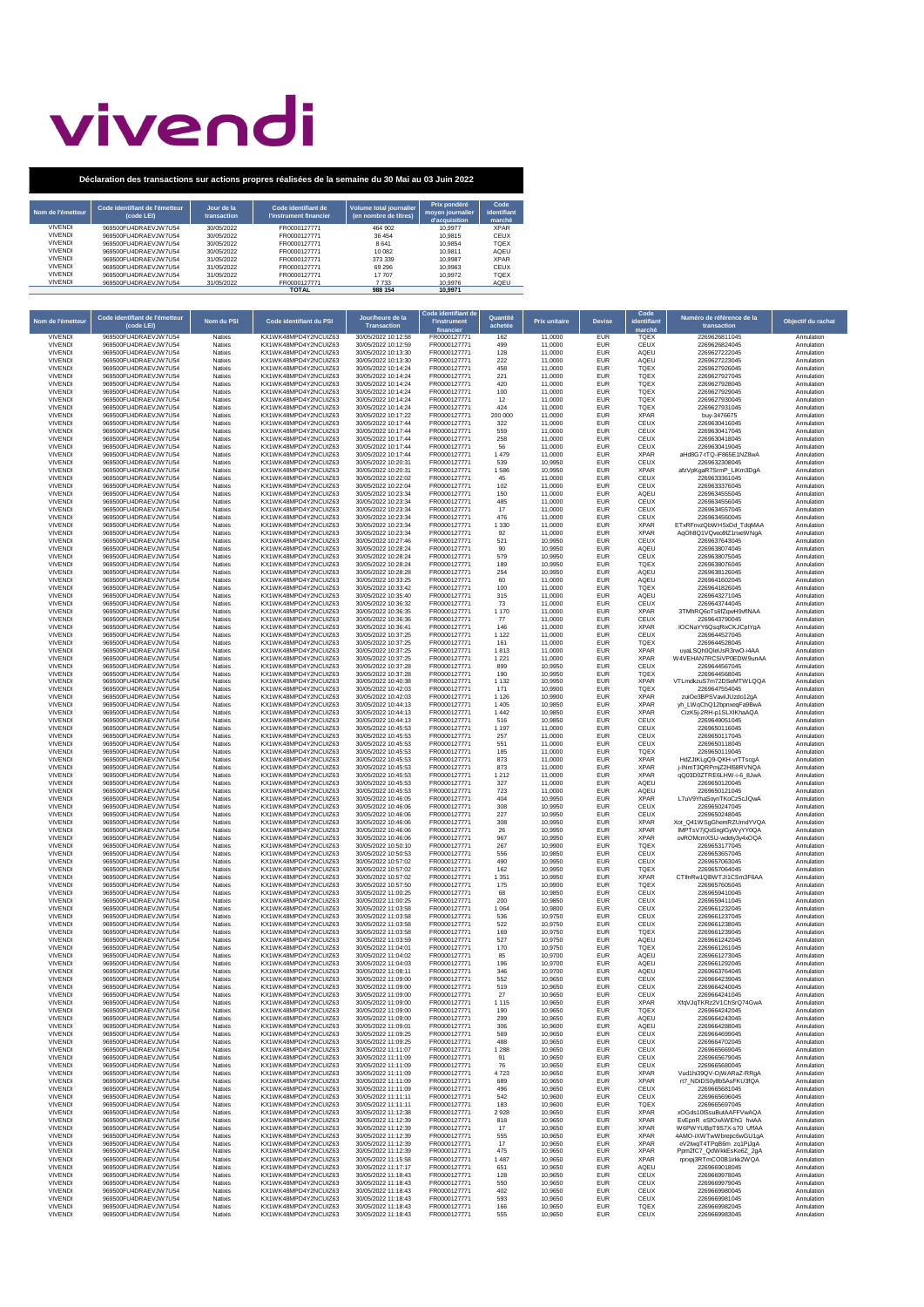## vivendi

| Nom de l'émetteur | Code identifiant de l'émetteur<br>(code LEI) | Jour de la<br>transaction | Code identifiant de<br>l'instrument financier | <b>Volume total journalier</b><br>(en nombre de titres) | Prix pondéré<br>moven journalier<br>d'acquisition | Code<br>identifiant<br>marché |
|-------------------|----------------------------------------------|---------------------------|-----------------------------------------------|---------------------------------------------------------|---------------------------------------------------|-------------------------------|
| <b>VIVENDI</b>    | 969500FU4DRAFV.IW7U54                        | 30/05/2022                | FR0000127771                                  | 464 902                                                 | 10.9977                                           | <b>XPAR</b>                   |
| <b>VIVENDI</b>    | 969500FU4DRAFV.IW7U54                        | 30/05/2022                | FR0000127771                                  | 36 454                                                  | 10.9815                                           | CEUX                          |
| <b>VIVENDI</b>    | 969500FU4DRAFV.IW7U54                        | 30/05/2022                | FR0000127771                                  | 8641                                                    | 10.9854                                           | <b>TOEX</b>                   |
| <b>VIVENDI</b>    | 969500FU4DRAFV.IW7U54                        | 30/05/2022                | FR0000127771                                  | 10.082                                                  | 10.9811                                           | AQEU                          |
| <b>VIVENDI</b>    | 969500FU4DRAFV.IW7U54                        | 31/05/2022                | FR0000127771                                  | 373 339                                                 | 10.9987                                           | <b>XPAR</b>                   |
| <b>VIVENDI</b>    | 969500FU4DRAFV.IW7U54                        | 31/05/2022                | FR0000127771                                  | 69 296                                                  | 10.9963                                           | CFUX                          |
| <b>VIVENDI</b>    | 969500FU4DRAFV.IW7U54                        | 31/05/2022                | FR0000127771                                  | 17 707                                                  | 10.9972                                           | <b>TOEX</b>                   |
| <b>VIVENDI</b>    | 969500FU4DRAFV.IW7U54                        | 31/05/2022                | FR0000127771                                  | 7733                                                    | 10.9976                                           | AQEU                          |
|                   |                                              |                           | <b>TOTAL</b>                                  | 988 154                                                 | 10.9971                                           |                               |

| Nom de l'émetteur                | Code identifiant de l'émetteur<br>(code LEI)   | Nom du PSI                | Code identifiant du PSI                       | Jour/heure de la<br>Transaction            | Code identifiant de<br><b>l'instrument</b><br>financie | Quantité<br>achetée | Prix unitaire      | <b>Devise</b>            | Code<br>identifiant<br>marché | Numéro de référence de la<br>transaction           | Objectif du rachat       |
|----------------------------------|------------------------------------------------|---------------------------|-----------------------------------------------|--------------------------------------------|--------------------------------------------------------|---------------------|--------------------|--------------------------|-------------------------------|----------------------------------------------------|--------------------------|
| <b>VIVENDI</b><br><b>VIVENDI</b> | 969500FU4DRAEVJW7U54<br>969500FU4DRAEVJW7U54   | Natixis<br>Natixis        | KX1WK48MPD4Y2NCUIZ63<br>KX1WK48MPD4Y2NCUIZ63  | 30/05/2022 10:12:58<br>30/05/2022 10:12:59 | FR0000127771<br>FR0000127771                           | 162<br>499          | 11,0000<br>11,0000 | <b>EUR</b><br><b>EUR</b> | TQEX<br>CEUX                  | 2269626811045<br>2269626824045                     | Annulation<br>Annulation |
| <b>VIVENDI</b>                   | 969500FU4DRAEVJW7U54                           | Natixis                   | KX1WK48MPD4Y2NCUIZ63                          | 30/05/2022 10:13:30                        | FR0000127771                                           | 128                 | 11,0000            | <b>EUR</b>               | AQEU                          | 2269627222045                                      | Annulation               |
| <b>VIVEND</b><br><b>VIVENDI</b>  | 969500FU4DRAFV.IW7U54<br>969500FU4DRAEVJW7U54  | Natixis<br>Natixis        | KX1WK48MPD4Y2NCUIZ63<br>KX1WK48MPD4Y2NCUIZ63  | 30/05/2022 10:13:30<br>30/05/2022 10:14:24 | FR0000127771<br>FR0000127771                           | 222<br>458          | 11,0000<br>11,0000 | EUR<br>EUR               | AQEU<br><b>TQEX</b>           | 2269627223045<br>2269627926045                     | Annulation<br>Annulation |
| <b>VIVENDI</b>                   | 969500FU4DRAEVJW7U54                           | Natixis                   | KX1WK48MPD4Y2NCUIZ63                          | 30/05/2022 10:14:24                        | FR0000127771                                           | 221                 | 11,0000            | EUR                      | TQEX                          | 2269627927045                                      | Annulation               |
| <b>VIVENDI</b><br><b>VIVENDI</b> | 969500FU4DRAEVJW7U54<br>969500FU4DRAEVJW7U54   | Natixis<br>Natixis        | KX1WK48MPD4Y2NCUIZ63<br>KX1WK48MPD4Y2NCUIZ63  | 30/05/2022 10:14:24<br>30/05/2022 10:14:24 | FR0000127771<br>FR0000127771                           | 420<br>100          | 11,0000<br>11,0000 | EUR<br>EUR               | TQEX<br><b>TQEX</b>           | 2269627928045<br>2269627929045                     | Annulation               |
| <b>VIVENDI</b>                   | 969500FU4DRAEVJW7U54                           | Natixis                   | KX1WK48MPD4Y2NCUIZ63                          | 30/05/2022 10:14:24                        | FR0000127771                                           | 12                  | 11,0000            | EUR                      | TQEX                          | 2269627930045                                      | Annulation<br>Annulation |
| <b>VIVENDI</b>                   | 969500FU4DRAEVJW7U54                           | Natixis                   | KX1WK48MPD4Y2NCUIZ63                          | 30/05/2022 10:14:24                        | FR0000127771                                           | 424                 | 11,0000            | EUR                      | <b>TQEX</b>                   | 2269627931045                                      | Annulation               |
| <b>VIVENDI</b><br><b>VIVEND</b>  | 969500FU4DRAEVJW7U54<br>969500FU4DRAEVJW7U54   | Natixis<br>Natixis        | KX1WK48MPD4Y2NCLIIZ63<br>KX1WK48MPD4Y2NCUIZ63 | 30/05/2022 10:17:22<br>30/05/2022 10:17:44 | FR0000127771<br>FR0000127771                           | 200 000<br>322      | 11,0000<br>11,0000 | EUR<br>EUR               | <b>XPAR</b><br>CEUX           | buv-3476675<br>2269630416045                       | Annulation<br>Annulation |
| <b>VIVENDI</b>                   | 969500FU4DRAEVJW7U54                           | Natixis                   | KX1WK48MPD4Y2NCUIZ63                          | 30/05/2022 10:17:44                        | FR0000127771                                           | 559                 | 11,0000            | <b>EUR</b>               | CEUX                          | 2269630417045                                      | Annulation               |
| VIVENDI<br><b>VIVENDI</b>        | 969500FU4DRAEVJW7U54<br>969500FU4DRAEVJW7U54   | Natixis<br>Natixis        | KX1WK48MPD4Y2NCUIZ63<br>KX1WK48MPD4Y2NCUIZ63  | 30/05/2022 10:17:44<br>30/05/2022 10:17:44 | FR0000127771<br>FR0000127771                           | 258<br>56           | 11,0000<br>11,0000 | EUR<br>EUR               | CEUX<br>CEUX                  | 2269630418045<br>2269630419045                     | Annulation<br>Annulation |
| <b>VIVEND</b>                    | 969500FU4DRAEVJW7U54                           | Natixis                   | KX1WK48MPD4Y2NCUIZ63                          | 30/05/2022 10:17:44                        | FR0000127771                                           | 1479                | 11,0000            | EUR                      | <b>XPAR</b>                   | aHd8G7-tTQ-iF865E1NZ8wA                            | Annulation               |
| VIVEND<br><b>VIVENDI</b>         | 969500FU4DRAEVJW7U54<br>969500FU4DRAEVJW7U54   | Natixis<br>Natixis        | KX1WK48MPD4Y2NCUIZ63<br>KX1WK48MPD4Y2NCUIZ63  | 30/05/2022 10:20:31<br>30/05/2022 10:20:31 | FR0000127771<br>FR0000127771                           | 539<br>1586         | 10,9950<br>10,9950 | EUR<br>EUR               | CEUX<br><b>XPAR</b>           | 2269632308045<br>afzVpKgaR7SrmP_LiKm3DgA           | Annulation<br>Annulation |
| <b>VIVEND</b>                    | 969500FU4DRAEVJW7U54                           | Natixis                   | KX1WK48MPD4Y2NCUIZ63                          | 30/05/2022 10:22:02                        | FR0000127771                                           | 45                  | 11,0000            | <b>EUR</b>               | CEUX                          | 2269633361045                                      | Annulation               |
| <b>VIVENDI</b><br><b>VIVENDI</b> | 969500FU4DRAEVJW7U54<br>969500FU4DRAEVJW7U54   | Natixis<br>Natixis        | KX1WK48MPD4Y2NCUIZ63<br>KX1WK48MPD4Y2NCUIZ63  | 30/05/2022 10:22:04<br>30/05/2022 10:23:34 | FR0000127771<br>FR0000127771                           | 102<br>150          | 11,0000<br>11,0000 | EUR<br>EUR               | CEUX<br>AQEU                  | 2269633376045<br>2269634555045                     | Annulation<br>Annulation |
| <b>VIVENDI</b>                   | 969500FU4DRAEVJW7U54                           | Natixis                   | KX1WK48MPD4Y2NCUIZ63                          | 30/05/2022 10:23:34                        | FR0000127771                                           | 485                 | 11,0000            | EUR                      | CEUX                          | 2269634556045                                      | Annulation               |
| <b>VIVENDI</b><br><b>VIVENDI</b> | 969500FU4DRAEVJW7U54<br>969500FU4DRAEVJW7U54   | Natixis<br>Natixis        | KX1WK48MPD4Y2NCUIZ63<br>KX1WK48MPD4Y2NCUIZ63  | 30/05/2022 10:23:34<br>30/05/2022 10:23:34 | FR0000127771<br>FR0000127771                           | 17<br>476           | 11,0000<br>11,0000 | EUR<br>EUR               | CEUX<br>CEUX                  | 2269634557045<br>2269634560045                     | Annulation<br>Annulation |
| <b>VIVENDI</b>                   | 969500FU4DRAEVJW7U54                           | Natixis                   | KX1WK48MPD4Y2NCUIZ63                          | 30/05/2022 10:23:34                        | FR0000127771                                           | 1 3 3 0             | 11,0000            | EUR                      | <b>XPAR</b>                   | ETxRFnvzQbWHSxDd_TdqMAA                            | Annulation               |
| <b>VIVENDI</b><br><b>VIVENDI</b> | 969500FU4DRAEVJW7U54<br>969500FU4DRAEVJW7U54   | Natixis<br>Natixis        | KX1WK48MPD4Y2NCUIZ63<br>KX1WK48MPD4Y2NCUIZ63  | 30/05/2022 10:23:34<br>30/05/2022 10:27:46 | FR0000127771<br>FR0000127771                           | 92<br>521           | 11,0000<br>10,9950 | EUR<br>EUR               | <b>XPAR</b><br>CEUX           | AqOh8Q1VQveo9lZ1nxeWNgA<br>2269637643045           | Annulation<br>Annulation |
| <b>VIVENDI</b>                   | 969500FU4DRAEVJW7U54                           | Natixis                   | KX1WK48MPD4Y2NCUIZ63                          | 30/05/2022 10:28:24                        | FR0000127771                                           | 90                  | 10,9950            | <b>EUR</b>               | AQEU                          | 2269638074045                                      | Annulation               |
| <b>VIVENDI</b><br><b>VIVENDI</b> | 969500FU4DRAEVJW7U54<br>969500FU4DRAEVJW7U54   | Natixis<br>Natixis        | KX1WK48MPD4Y2NCUIZ63<br>KX1WK48MPD4Y2NCUIZ63  | 30/05/2022 10:28:24<br>30/05/2022 10:28:24 | FR0000127771<br>FR0000127771                           | 579<br>189          | 10,9950<br>10,9950 | EUR<br>EUR               | CEUX<br><b>TQEX</b>           | 2269638075045<br>2269638076045                     | Annulation<br>Annulation |
| <b>VIVENDI</b>                   | 969500FU4DRAEVJW7U54                           | Natixis                   | KX1WK48MPD4Y2NCUIZ63                          | 30/05/2022 10:28:28                        | FR0000127771                                           | 254                 | 10,9950            | EUR                      | AQEU                          | 2269638126045                                      | Annulation               |
| <b>VIVENDI</b><br><b>VIVENDI</b> | 969500FU4DRAEVJW7U54<br>969500FU4DRAEVJW7U54   | Natixis<br>Natixis        | KX1WK48MPD4Y2NCUIZ63<br>KX1WK48MPD4Y2NCUIZ63  | 30/05/2022 10:33:25<br>30/05/2022 10:33:42 | FR0000127771<br>FR0000127771                           | 60<br>100           | 11,0000<br>11,0000 | EUR<br>EUR               | AQEU<br><b>TQEX</b>           | 2269641602045<br>2269641826045                     | Annulation<br>Annulation |
| <b>VIVENDI</b>                   | 969500FU4DRAEVJW7U54                           | Natixis                   | KX1WK48MPD4Y2NCUIZ63                          | 30/05/2022 10:35:40                        | FR0000127771                                           | 315                 | 11,0000            | EUR                      | AQEU                          | 2269643271045                                      | Annulation               |
| <b>VIVENDI</b><br><b>VIVENDI</b> | 969500FU4DRAEVJW7U54<br>969500FU4DRAEVJW7U54   | Natixis<br>Natixis        | KX1WK48MPD4Y2NCUIZ63<br>KX1WK48MPD4Y2NCUIZ63  | 30/05/2022 10:36:32<br>30/05/2022 10:36:35 | FR0000127771<br>FR0000127771                           | 73<br>1 170         | 11,0000<br>11,0000 | <b>EUR</b><br>EUR        | CEUX<br><b>XPAR</b>           | 2269643744045<br>3TMhRQ6oTs6fZqwH9vfINAA           | Annulation<br>Annulation |
| <b>VIVENDI</b>                   | 969500FU4DRAEVJW7U54                           | Natixis                   | KX1WK48MPD4Y2NCUIZ63                          | 30/05/2022 10:36:36                        | FR0000127771                                           | $77$                | 11,0000            | EUR                      | CEUX                          | 2269643790045                                      | Annulation               |
| <b>VIVENDI</b><br><b>VIVENDI</b> | 969500FU4DRAEVJW7U54<br>969500FU4DRAEVJW7U54   | Natixis<br><b>Natixis</b> | KX1WK48MPD4Y2NCUIZ63<br>KX1WK48MPD4Y2NCUIZ63  | 30/05/2022 10:36:41<br>30/05/2022 10:37:25 | FR0000127771<br>FR0000127771                           | 146<br>1 1 2 2      | 11,0000<br>11,0000 | EUR<br><b>EUR</b>        | <b>XPAR</b><br>CEUX           | IOCNaYY6OsoRixCK.ICoIYoA<br>2269644527045          | Annulation<br>Annulation |
| <b>VIVENDI</b>                   | 969500FU4DRAEVJW7U54                           | Natixis                   | KX1WK48MPD4Y2NCUIZ63                          | 30/05/2022 10:37:25                        | FR0000127771                                           | 161                 | 11,0000            | EUR                      | <b>TQEX</b>                   | 2269644528045                                      | Annulation               |
| <b>VIVENDI</b><br><b>VIVENDI</b> | 969500FU4DRAEVJW7U54<br>969500FU4DRAEVJW7U54   | Natixis<br>Natixis        | KX1WK48MPD4Y2NCUIZ63<br>KX1WK48MPD4Y2NCUIZ63  | 30/05/2022 10:37:25<br>30/05/2022 10:37:25 | FR0000127771<br>FR0000127771                           | 1813<br>1 2 2 1     | 11,0000<br>11,0000 | <b>EUR</b><br>EUR        | <b>XPAR</b><br><b>XPAR</b>    | uvaLSQh0QleUsR3rwO-i4AA<br>W4VEHAN7RCSiVP0EDW9unAA | Annulation<br>Annulation |
| <b>VIVENDI</b>                   | 969500FU4DRAEVJW7U54                           | Natixis                   | KX1WK48MPD4Y2NCUIZ63                          | 30/05/2022 10:37:28                        | FR0000127771                                           | 899                 | 10,9950            | EUR                      | CEUX                          | 2269644567045                                      | Annulation               |
| <b>VIVENDI</b><br><b>VIVENDI</b> | 969500FU4DRAEVJW7U54<br>969500FU4DRAEVJW7U54   | Natixis<br>Natixis        | KX1WK48MPD4Y2NCUIZ63<br>KX1WK48MPD4Y2NCUIZ63  | 30/05/2022 10:37:28<br>30/05/2022 10:40:38 | FR0000127771<br>FR0000127771                           | 190<br>1 1 3 2      | 10,9950<br>10,9950 | <b>EUR</b><br>EUR        | <b>TQEX</b><br><b>XPAR</b>    | 2269644568045<br>VTLmdkzuS7m72DSeMTWLQQA           | Annulation<br>Annulation |
| <b>VIVENDI</b>                   | 969500FU4DRAEVJW7U54                           | Natixis                   | KX1WK48MPD4Y2NCUIZ63                          | 30/05/2022 10:42:03                        | FR0000127771                                           | 171                 | 10,9900            | EUR                      | <b>TQEX</b>                   | 2269647554045                                      | Annulation               |
| <b>VIVENDI</b><br><b>VIVENDI</b> | 969500FU4DRAEVJW7U54<br>969500FU4DRAEVJW7U54   | <b>Natixis</b><br>Natixis | KX1WK48MPD4Y2NCLIIZ63<br>KX1WK48MPD4Y2NCUIZ63 | 30/05/2022 10:42:03<br>30/05/2022 10:44:13 | FR0000127771<br>FR0000127771                           | 1 1 2 6<br>1 4 0 5  | 10,9900<br>10,9850 | <b>FUR</b><br>EUR        | <b>XPAR</b><br><b>XPAR</b>    | zuiOe3BPSVavilJUzdo12gA<br>yh_LWqChQ12bpnxeqFa9BwA | Annulation<br>Annulation |
| <b>VIVENDI</b>                   | 969500FU4DRAEVJW7U54                           | Natixis                   | KX1WK48MPD4Y2NCUIZ63                          | 30/05/2022 10:44:13                        | FR0000127771                                           | 1 4 4 2             | 10,9850            | EUR                      | <b>XPAR</b>                   | CizK5i-2RH-n1SI XIKhaAQA                           | Annulation               |
| <b>VIVENDI</b><br><b>VIVENDI</b> | 969500FU4DRAEVJW7U54<br>969500FU4DRAFV.IW7U54  | Natixis<br>Natixis        | KX1WK48MPD4Y2NCUIZ63<br>KX1WK48MPD4Y2NCUIZ63  | 30/05/2022 10:44:13<br>30/05/2022 10:45:53 | FR0000127771<br>FR0000127771                           | 516                 | 10,9850            | <b>EUR</b><br>EUR        | CEUX<br>CEUX                  | 2269649051045<br>2269650116045                     | Annulation               |
| <b>VIVENDI</b>                   | 969500FU4DRAEVJW7U54                           | Natixis                   | KX1WK48MPD4Y2NCUIZ63                          | 30/05/2022 10:45:53                        | FR0000127771                                           | 1 1 9 7<br>257      | 11,0000<br>11,0000 | EUR                      | CEUX                          | 2269650117045                                      | Annulation<br>Annulation |
| <b>VIVENDI</b><br><b>VIVENDI</b> | 969500FU4DRAEVJW7U54<br>969500FU4DRAEVJW7U54   | Natixis<br>Natixis        | KX1WK48MPD4Y2NCUIZ63<br>KX1WK48MPD4Y2NCUIZ63  | 30/05/2022 10:45:53<br>30/05/2022 10:45:53 | FR0000127771<br>FR0000127771                           | 551<br>185          | 11,0000            | EUR<br>EUR               | CEUX<br>TQEX                  | 2269650118045<br>2269650119045                     | Annulation               |
| <b>VIVENDI</b>                   | 969500FU4DRAFV.IW7U54                          | Natixis                   | KX1WK48MPD4Y2NCUIZ63                          | 30/05/2022 10:45:53                        | FR0000127771                                           | 873                 | 11,0000<br>11,0000 | EUR                      | <b>XPAR</b>                   | HdZJtKLgQ9-QKH-vrTTscgA                            | Annulation<br>Annulation |
| <b>VIVENDI</b><br><b>VIVENDI</b> | 969500FU4DRAEVJW7U54<br>969500FU4DRAEVJW7U54   | Natixis<br>Natixis        | KX1WK48MPD4Y2NCUIZ63<br>KX1WK48MPD4Y2NCUIZ63  | 30/05/2022 10:45:53<br>30/05/2022 10:45:53 | FR0000127771                                           | 873                 | 11,0000            | EUR                      | <b>XPAR</b><br><b>XPAR</b>    | j-INmT3QRPmjZ2HI58RVNQA                            | Annulation               |
| <b>VIVENDI</b>                   | 969500FU4DRAEVJW7U54                           | Natixis                   | KX1WK48MPD4Y2NCUIZ63                          | 30/05/2022 10:45:53                        | FR0000127771<br>FR0000127771                           | 1 2 1 2<br>327      | 11,0000<br>11,0000 | EUR<br>EUR               | AQEU                          | qQ03D0ZTRE6LHW-i-6_8JwA<br>2269650120045           | Annulation<br>Annulation |
| <b>VIVENDI</b>                   | 969500FU4DRAEVJW7U54                           | Natixis                   | KX1WK48MPD4Y2NCUIZ63                          | 30/05/2022 10:45:53                        | FR0000127771                                           | 723                 | 11,0000            | EUR                      | AQEU                          | 2269650121045                                      | Annulation               |
| <b>VIVEND</b><br><b>VIVEND</b>   | 969500FU4DRAEVJW7U54<br>969500FU4DRAEVJW7U54   | Natixis<br>Natixis        | KX1WK48MPD4Y2NCUIZ63<br>KX1WK48MPD4Y2NCUIZ63  | 30/05/2022 10:46:05<br>30/05/2022 10:46:06 | FR0000127771<br>FR0000127771                           | 404<br>308          | 10,9950<br>10,9950 | EUR<br>EUR               | <b>XPAR</b><br>CEUX           | L7uV9YhaSovnTKoCz5cJQwA<br>2269650247045           | Annulation<br>Annulation |
| <b>VIVEND</b>                    | 969500FU4DRAEVJW7U54                           | Natixis                   | KX1WK48MPD4Y2NCUIZ63                          | 30/05/2022 10:46:06                        | FR0000127771                                           | 227                 | 10,9950            | EUR                      | CEUX                          | 2269650248045                                      | Annulation               |
| <b>VIVENDI</b><br>VIVENDI        | 969500FU4DRAEVJW7U54<br>969500FU4DRAEVJW7U54   | Natixis<br>Natixis        | KX1WK48MPD4Y2NCUIZ63<br>KX1WK48MPD4Y2NCUIZ63  | 30/05/2022 10:46:06<br>30/05/2022 10:46:06 | FR0000127771<br>FR0000127771                           | 308<br>26           | 10,9950<br>10,9950 | EUR<br>EUR               | <b>XPAR</b><br><b>XPAR</b>    | Xot Q41WSqGhemRZUmdYVQA<br>IMPTsV7jQoSnglGyWyYY0QA | Annulation<br>Annulation |
| <b>VIVENDI</b>                   | 969500FU4DRAEVJW7U54                           | Natixis                   | KX1WK48MPD4Y2NCUIZ63                          | 30/05/2022 10:46:06                        | FR0000127771                                           | 967                 | 10,9950            | EUR                      | <b>XPAR</b>                   | ovROMcmXSU-wdety3y4xOQA                            | Annulation               |
| <b>VIVEND</b><br>VIVENDI         | 969500FU4DRAEVJW7U54<br>969500FU4DRAEVJW7U54   | Natixis<br>Natixis        | KX1WK48MPD4Y2NCUIZ63<br>KX1WK48MPD4Y2NCUIZ63  | 30/05/2022 10:50:10<br>30/05/2022 10:50:53 | FR0000127771<br>FR0000127771                           | 267<br>556          | 10,9900<br>10,9850 | <b>EUR</b><br>EUR        | TQEX<br>CEUX                  | 2269653177045<br>2269653657045                     | Annulation<br>Annulation |
| <b>VIVENDI</b>                   | 969500FU4DRAEVJW7U54                           | Natixis                   | KX1WK48MPD4Y2NCUIZ63                          | 30/05/2022 10:57:02                        | FR0000127771                                           | 490                 | 10,9950            | EUR                      | CEUX                          | 2269657063045                                      | Annulation               |
| <b>VIVENDI</b><br><b>VIVENDI</b> | 969500FU4DRAEVJW7U54<br>969500FU4DRAEVJW7U54   | Natixis<br>Natixis        | KX1WK48MPD4Y2NCUIZ63<br>KX1WK48MPD4Y2NCUIZ63  | 30/05/2022 10:57:02<br>30/05/2022 10:57:02 | FR0000127771<br>FR0000127771                           | 162<br>1 3 5 1      | 10,9950<br>10,9950 | EUR<br>EUR               | <b>TQEX</b><br><b>XPAR</b>    | 2269657064045<br>CTIInRw1QBWTJI1CSm3F6AA           | Annulation<br>Annulation |
| <b>VIVENDI</b>                   | 969500FU4DRAEVJW7U54                           | Natixis                   | KX1WK48MPD4Y2NCUIZ63                          | 30/05/2022 10:57:50                        | FR0000127771                                           | 175                 | 10,9900            | EUR                      | TQEX                          | 2269657605045                                      | Annulation               |
| <b>VIVENDI</b><br><b>VIVENDI</b> | 969500FU4DRAEVJW7U54<br>969500FU4DRAEVJW7U54   | Natixis<br>Natixis        | KX1WK48MPD4Y2NCUIZ63<br>KX1WK48MPD4Y2NCUIZ63  | 30/05/2022 11:00:25<br>30/05/2022 11:00:25 | FR0000127771<br>FR0000127771                           | 68<br>200           | 10,9850<br>10,9850 | EUR<br>EUR               | CEUX<br>CEUX                  | 2269659410045<br>2269659411045                     | Annulation<br>Annulation |
| <b>VIVENDI</b>                   | 969500FU4DRAEVJW7U54                           | Natixis                   | KX1WK48MPD4Y2NCUIZ63                          | 30/05/2022 11:03:58                        | FR0000127771                                           | 1 0 6 4             | 10,9800            | EUR                      | CEUX                          | 2269661232045                                      | Annulation               |
| <b>VIVENDI</b><br><b>VIVEND</b>  | 969500FU4DRAEVJW7U54<br>969500FU4DRAEVJW7U54   | Natixis<br>Natixis        | KX1WK48MPD4Y2NCUIZ63<br>KX1WK48MPD4Y2NCUIZ63  | 30/05/2022 11:03:58<br>30/05/2022 11:03:58 | FR0000127771<br>FR0000127771                           | 536<br>522          | 10,9750<br>10,9750 | <b>EUR</b><br>EUR        | CEUX<br>CEUX                  | 2269661237045<br>2269661238045                     | Annulation<br>Annulation |
| <b>VIVENDI</b>                   | 969500FU4DRAEVJW7U54                           | Natixis                   | KX1WK48MPD4Y2NCUIZ63                          | 30/05/2022 11:03:58                        | FR0000127771                                           | 169                 | 10,9750            | EUR                      | <b>TQEX</b>                   | 2269661239045                                      | Annulation               |
| <b>VIVENDI</b><br><b>VIVENDI</b> | 969500FU4DRAEVJW7U54<br>969500FU4DRAFV.IW7U54  | Natixis<br>Natixis        | KX1WK48MPD4Y2NCUIZ63<br>KX1WK48MPD4Y2NCUIZ63  | 30/05/2022 11:03:59<br>30/05/2022 11:04:01 | FR0000127771<br>FR0000127771                           | 527<br>170          | 10,9750<br>10,9750 | EUR<br>EUR               | AQEU<br><b>TQEX</b>           | 2269661242045<br>2269661261045                     | Annulation<br>Annulation |
| <b>VIVENDI</b>                   | 969500FU4DRAEVJW7U54                           | Natixis                   | KX1WK48MPD4Y2NCUIZ63                          | 30/05/2022 11:04:02                        | FR0000127771                                           | 85                  | 10,9700            | EUR                      | AQEU                          | 2269661273045                                      | Annulation               |
| <b>VIVENDI</b><br><b>VIVEND</b>  | 969500FU4DRAEVJW7U54<br>969500FU4DRAFV.IW7U54  | Natixis<br>Natixis        | KX1WK48MPD4Y2NCUIZ63<br>KX1WK48MPD4Y2NCUIZ63  | 30/05/2022 11:04:03<br>30/05/2022 11:08:11 | FR0000127771<br>FR0000127771                           | 196<br>346          | 10,9700<br>10,9700 | EUR<br>EUR               | AQEU<br>AQEU                  | 2269661292045<br>2269663764045                     | Annulation<br>Annulation |
| <b>VIVENDI</b>                   | 969500FU4DRAFV.IW7U54                          | Natixis                   | KX1WK48MPD4Y2NCUIZ63                          | 30/05/2022 11:09:00                        | FR0000127771                                           | 552                 | 10,9650            | EUR                      | CEUX                          | 2269664239045                                      | Annulation               |
| <b>VIVENDI</b><br><b>VIVENDI</b> | 969500FU4DRAEVJW7U54<br>969500FU4DRAFV.IW7U54  | Natixis<br>Natixis        | KX1WK48MPD4Y2NCUIZ63<br>KX1WK48MPD4Y2NCUIZ63  | 30/05/2022 11:09:00<br>30/05/2022 11:09:00 | FR0000127771<br>FR0000127771                           | 519<br>27           | 10,9650<br>10,9650 | EUR<br>EUR               | CEUX<br>CEUX                  | 2269664240045<br>2269664241045                     | Annulation<br>Annulation |
| <b>VIVENDI</b>                   | 969500FU4DRAEVJW7U54                           | Natixis                   | KX1WK48MPD4Y2NCUIZ63                          | 30/05/2022 11:09:00                        | FR0000127771                                           | 1 1 1 5             | 10,9650            | EUR                      | <b>XPAR</b>                   | XfqVJqTKRz2V1ChSrQ74GwA                            | Annulation               |
| <b>VIVENDI</b><br><b>VIVENDI</b> | 969500FU4DRAFV.IW7U54<br>969500FU4DRAEVJW7U54  | Natixis<br>Natixis        | KX1WK48MPD4Y2NCUIZ63<br>KX1WK48MPD4Y2NCUIZ63  | 30/05/2022 11:09:00<br>30/05/2022 11:09:00 | FR0000127771<br>FR0000127771                           | 190<br>299          | 10,9650<br>10.9650 | EUR<br><b>EUR</b>        | TQEX<br>AQEU                  | 2269664242045<br>2269664243045                     | Annulation<br>Annulation |
| <b>VIVENDI</b>                   | 969500FU4DRAEVJW7U54                           | Natixis                   | KX1WK48MPD4Y2NCUIZ63                          | 30/05/2022 11:09:01                        | FR0000127771                                           | 306                 | 10,9600            | <b>EUR</b>               | AQEU                          | 2269664288045                                      | Annulation               |
| <b>VIVENDI</b><br><b>VIVENDI</b> | 969500FU4DRAEVJW7U54<br>969500FU4DRAEVJW7U54   | Natixis<br>Natixis        | KX1WK48MPD4Y2NCUIZ63<br>KX1WK48MPD4Y2NCUIZ63  | 30/05/2022 11:09:25<br>30/05/2022 11:09:25 | FR0000127771                                           | 569<br>488          | 10,9650<br>10.9650 | <b>EUR</b><br><b>EUR</b> | CEUX<br>CEUX                  | 2269664699045<br>2269664702045                     | Annulation               |
| <b>VIVENDI</b>                   | 969500FU4DRAEVJW7U54                           | Natixis                   | KX1WK48MPD4Y2NCUIZ63                          | 30/05/2022 11:11:07                        | FR0000127771<br>FR0000127771                           | 1 2 8 8             | 10,9650            | <b>EUR</b>               | CEUX                          | 2269665669045                                      | Annulation<br>Annulation |
| <b>VIVENDI</b>                   | 969500FU4DRAEVJW7U54                           | Natixis                   | KX1WK48MPD4Y2NCUIZ63                          | 30/05/2022 11:11:09                        | FR0000127771                                           | 91                  | 10,9650            | <b>EUR</b>               | CEUX                          | 2269665679045                                      | Annulation               |
| <b>VIVENDI</b><br><b>VIVENDI</b> | 969500FU4DRAFV.IW7U54<br>969500FU4DRAEVJW7U54  | Natixis<br>Natixis        | KX1WK48MPD4Y2NCUIZ63<br>KX1WK48MPD4Y2NCUIZ63  | 30/05/2022 11:11:09<br>30/05/2022 11:11:09 | FR0000127771<br>FR0000127771                           | 76<br>4723          | 10.9650<br>10,9650 | <b>EUR</b><br><b>EUR</b> | CEUX<br><b>XPAR</b>           | 2269665680045<br>Vud1hi39QV-OjWARaZ-RRgA           | Annulation<br>Annulation |
| <b>VIVENDI</b>                   | 969500FU4DRAEVJW7U54                           | Natixis                   | KX1WK48MPD4Y2NCUIZ63                          | 30/05/2022 11:11:09                        | FR0000127771                                           | 689                 | 10.9650            | <b>EUR</b>               | <b>XPAR</b>                   | rt7 NDiDS0v8b5AsFKU3fQA                            | Annulation               |
| <b>VIVENDI</b><br><b>VIVENDI</b> | 969500FU4DRAFV.IW7U54<br>969500FU4DRAEVJW7U54  | Natixis<br>Natixis        | KX1WK48MPD4Y2NCLIIZ63<br>KX1WK48MPD4Y2NCUIZ63 | 30/05/2022 11:11:09<br>30/05/2022 11:11:11 | FR0000127771<br>FR0000127771                           | 496<br>542          | 10,9650<br>10,9600 | <b>FUR</b><br><b>EUR</b> | CEUX<br>CEUX                  | 2269665681045<br>2269665696045                     | Annulation<br>Annulation |
| <b>VIVENDI</b>                   | 969500FU4DRAEVJW7U54                           | Natixis                   | KX1WK48MPD4Y2NCUIZ63                          | 30/05/2022 11:11:11                        | FR0000127771                                           | 183                 | 10,9600            | EUR                      | <b>TOEX</b>                   | 2269665697045                                      | Annulation               |
| <b>VIVENDI</b><br><b>VIVENDI</b> | 969500FU4DRAEVJW7U54<br>969500FU4DRAEVJW7U54   | Natixis<br>Natixis        | KX1WK48MPD4Y2NCUIZ63<br>KX1WK48MPD4Y2NCUIZ63  | 30/05/2022 11:12:38<br>30/05/2022 11:12:39 | FR0000127771<br>FR0000127771                           | 2928<br>818         | 10,9650<br>10.9650 | <b>EUR</b><br><b>EUR</b> | <b>XPAR</b><br><b>XPAR</b>    | xOGds10lSsuButAAFFVwAQA<br>EvEpnR_eSfOxAWEhG_hviAA | Annulation<br>Annulation |
| <b>VIVENDI</b>                   | 969500FU4DRAEVJW7U54                           | Natixis                   | KX1WK48MPD4Y2NCUIZ63                          | 30/05/2022 11:12:39                        | FR0000127771                                           | 17                  | 10,9650            | <b>EUR</b>               | <b>XPAR</b>                   | W6PWYUBpT9S7X-s70 UffAA                            | Annulation               |
| <b>VIVENDI</b><br><b>VIVENDI</b> | 969500FU4DRAEVJW7U54<br>969500FU4DRAEVJW7U54   | Natixis<br>Natixis        | KX1WK48MPD4Y2NCUIZ63<br>KX1WK48MPD4Y2NCUIZ63  | 30/05/2022 11:12:39<br>30/05/2022 11:12:39 | FR0000127771<br>FR0000127771                           | 555<br>17           | 10,9650<br>10.9650 | <b>EUR</b><br><b>EUR</b> | <b>XPAR</b><br><b>XPAR</b>    | 4AMO-iXWTwWbrepc6wGU1gA<br>eV2IwgT4TPqB6m_zq1PjJgA | Annulation<br>Annulation |
| <b>VIVENDI</b>                   | 969500FU4DRAEVJW7U54                           | Natixis                   | KX1WK48MPD4Y2NCUIZ63                          | 30/05/2022 11:12:39                        | FR0000127771                                           | 475                 | 10,9650            | <b>EUR</b>               | <b>XPAR</b>                   | Ppm2fC7_QdWkkEsKe6Z_2aA                            | Annulation               |
| <b>VIVENDI</b><br><b>VIVENDI</b> | 969500FU4DRAEVJW7U54<br>969500FU4DRAEVJW7U54   | Natixis<br>Natixis        | KX1WK48MPD4Y2NCUIZ63<br>KX1WK48MPD4Y2NCUIZ63  | 30/05/2022 11:15:58<br>30/05/2022 11:17:17 | FR0000127771<br>FR0000127771                           | 1 4 8 7<br>651      | 10,9650<br>10.9650 | <b>EUR</b><br><b>EUR</b> | <b>XPAR</b><br>AQEU           | rprxpj3RTmCO0B1irkk2WQA<br>2269669018045           | Annulation<br>Annulation |
| <b>VIVENDI</b>                   | 969500FU4DRAEVJW7U54                           | Natixis                   | KX1WK48MPD4Y2NCUIZ63                          | 30/05/2022 11:18:43                        | FR0000127771                                           | 128                 | 10,9650            | <b>EUR</b>               | CEUX                          | 2269669978045                                      | Annulation               |
| <b>VIVENDI</b><br><b>VIVENDI</b> | 969500FU4DRAFV.IW7U54<br>969500FU4DRAFV.IW7U54 | Natixis<br>Natixis        | KX1WK48MPD4Y2NCUIZ63<br>KX1WK48MPD4Y2NCUIZ63  | 30/05/2022 11:18:43<br>30/05/2022 11:18:43 | FR0000127771<br>FR0000127771                           | 550<br>402          | 10,9650<br>10,9650 | EUR<br><b>EUR</b>        | CEUX<br>CEUX                  | 2269669979045<br>2269669980045                     | Annulation<br>Annulation |
| <b>VIVENDI</b>                   | 969500FU4DRAEVJW7U54                           | Natixis                   | KX1WK48MPD4Y2NCUIZ63                          | 30/05/2022 11:18:43                        | FR0000127771                                           | 593                 | 10,9650            | <b>EUR</b>               | CEUX                          | 2269669981045                                      | Annulation               |
| <b>VIVENDI</b><br><b>VIVENDI</b> | 969500FU4DRAEVJW7U54<br>969500FU4DRAEVJW7U54   | Natixis<br>Natixis        | KX1WK48MPD4Y2NCUIZ63<br>KX1WK48MPD4Y2NCUIZ63  | 30/05/2022 11:18:43<br>30/05/2022 11:18:43 | FR0000127771<br>FR0000127771                           | 166<br>555          | 10,9650<br>10,9650 | <b>EUR</b><br><b>EUR</b> | TQEX<br>CEUX                  | 2269669982045<br>2269669983045                     | Annulation<br>Annulation |
|                                  |                                                |                           |                                               |                                            |                                                        |                     |                    |                          |                               |                                                    |                          |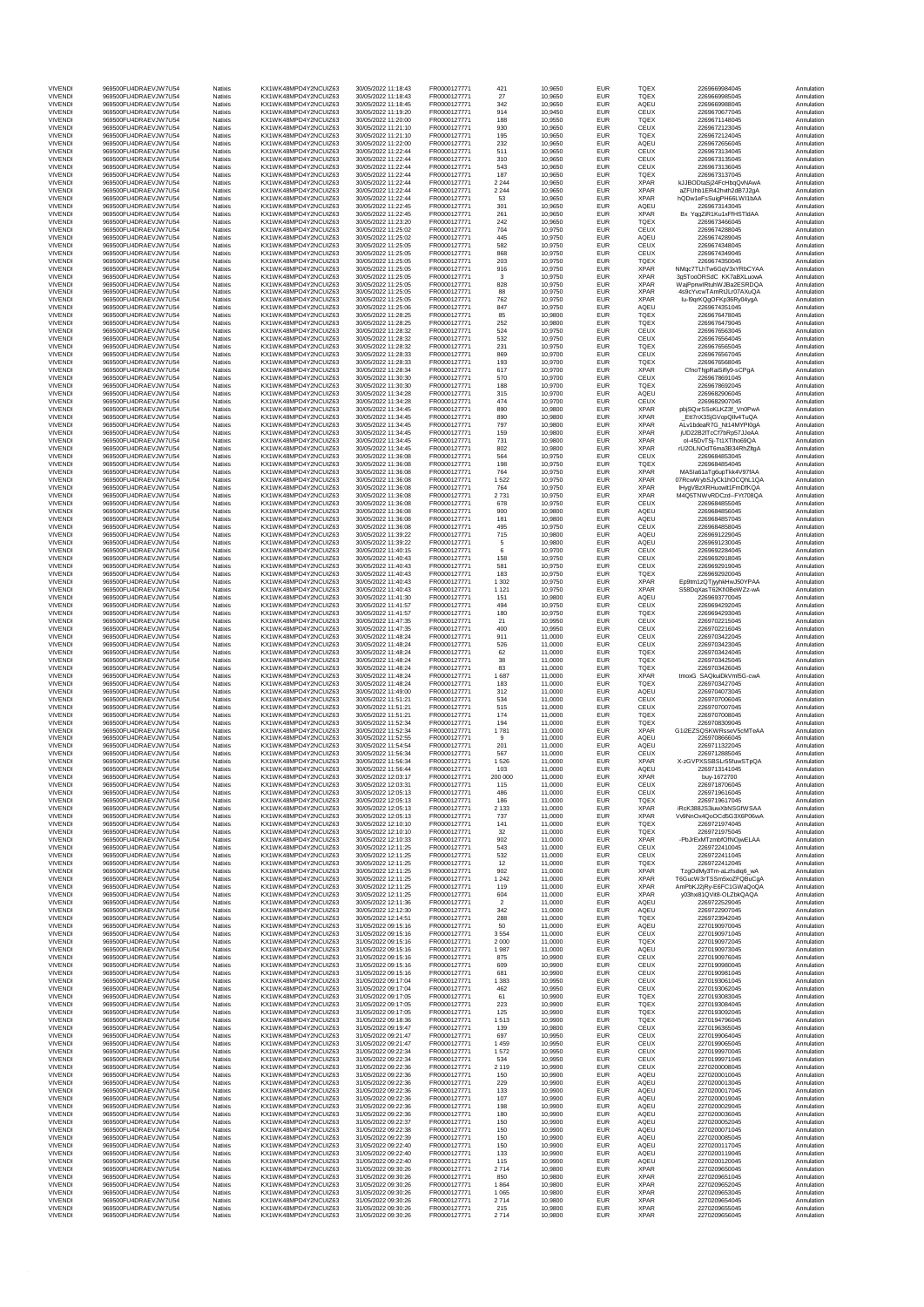|                                  | 969500FU4DRAFV.IW7U54                          |                           |                                              |                                            |                              |                    |                    |                          |                            |                                                    |                          |
|----------------------------------|------------------------------------------------|---------------------------|----------------------------------------------|--------------------------------------------|------------------------------|--------------------|--------------------|--------------------------|----------------------------|----------------------------------------------------|--------------------------|
| <b>VIVENDI</b><br>VIVENDI        | 969500FU4DRAEVJW7U54                           | Natixis<br>Natixis        | KX1WK48MPD4Y2NCUIZ63<br>KX1WK48MPD4Y2NCUIZ63 | 30/05/2022 11:18:43<br>30/05/2022 11:18:43 | FR0000127771<br>FR0000127771 | 421<br>27          | 10,9650<br>10,9650 | EUR<br><b>EUR</b>        | <b>TQEX</b><br><b>TQEX</b> | 2269669984045<br>2269669985045                     | Annulation<br>Annulation |
| <b>VIVENDI</b>                   | 969500FU4DRAEVJW7U54                           | Natixis                   | KX1WK48MPD4Y2NCUIZ63                         | 30/05/2022 11:18:45                        | FR0000127771                 | 342                | 10,9650            | EUR                      | AQEU                       | 2269669988045                                      | Annulation               |
| <b>VIVENDI</b>                   | 969500FU4DRAEVJW7U54                           | Natixis                   | KX1WK48MPD4Y2NCUIZ63                         | 30/05/2022 11:19:20                        | FR0000127771                 | 914                | 10.9450            | EUR                      | CEUX                       | 2269670677045                                      | Annulation               |
| VIVENDI<br>VIVENDI               | 969500FU4DRAEVJW7U54<br>969500FU4DRAEVJW7U54   | Natixis<br>Natixis        | KX1WK48MPD4Y2NCUIZ63<br>KX1WK48MPD4Y2NCUIZ63 | 30/05/2022 11:20:00<br>30/05/2022 11:21:10 | FR0000127771<br>FR0000127771 | 188<br>930         | 10,9550<br>10,9650 | EUR<br>EUR               | <b>TQEX</b><br>CEUX        | 2269671148045<br>2269672123045                     | Annulation<br>Annulation |
| <b>VIVENDI</b>                   | 969500FU4DRAFV.IW7U54                          | Natixis                   | KX1WK48MPD4Y2NCUIZ63                         | 30/05/2022 11:21:10                        | FR0000127771                 | 195                | 10.9650            | EUR                      | <b>TQEX</b>                | 2269672124045                                      | Annulation               |
| VIVENDI                          | 969500FU4DRAEVJW7U54                           | Natixis                   | KX1WK48MPD4Y2NCUIZ63                         | 30/05/2022 11:22:00                        | FR0000127771                 | 232                | 10,9650            | EUR                      | AQEU                       | 2269672656045                                      | Annulation               |
| <b>VIVENDI</b><br><b>VIVENDI</b> | 969500FU4DRAEVJW7U54<br>969500FU4DRAEVJW7U54   | Natixis<br>Natixis        | KX1WK48MPD4Y2NCUIZ63<br>KX1WK48MPD4Y2NCUIZ63 | 30/05/2022 11:22:44<br>30/05/2022 11:22:44 | FR0000127771<br>FR0000127771 | 511<br>310         | 10,9650<br>10.9650 | EUR<br>EUR               | CEUX<br>CEUX               | 2269673134045<br>2269673135045                     | Annulation<br>Annulation |
| <b>VIVENDI</b>                   | 969500FU4DRAEVJW7U54                           | Natixis                   | KX1WK48MPD4Y2NCUIZ63                         | 30/05/2022 11:22:44                        | FR0000127771                 | 543                | 10,9650            | EUR                      | CEUX                       | 2269673136045                                      | Annulation               |
| <b>VIVENDI</b>                   | 969500FU4DRAEVJW7U54                           | Natixis                   | KX1WK48MPD4Y2NCUIZ63                         | 30/05/2022 11:22:44                        | FR0000127771                 | 187                | 10,9650            | EUR                      | <b>TQEX</b>                | 2269673137045                                      | Annulation               |
| <b>VIVENDI</b>                   | 969500FU4DRAEVJW7U54                           | Natixis                   | KX1WK48MPD4Y2NCUIZ63<br>KX1WK48MPD4Y2NCUIZ63 | 30/05/2022 11:22:44                        | FR0000127771<br>FR0000127771 | 2 2 4 4            | 10,9650            | <b>FUR</b>               | <b>XPAR</b>                | kJJBODtaSi24FcHbqQvNAwA                            | Annulation               |
| <b>VIVENDI</b><br><b>VIVENDI</b> | 969500FU4DRAEVJW7U54<br>969500FU4DRAEVJW7U54   | Natixis<br>Natixis        | KX1WK48MPD4Y2NCUIZ63                         | 30/05/2022 11:22:44<br>30/05/2022 11:22:44 | FR0000127771                 | 2 2 4 4<br>53      | 10,9650<br>10,9650 | EUR<br>EUR               | <b>XPAR</b><br><b>XPAR</b> | aZFUhb1ER42hvth2dB7J2gA<br>hQDw1eFsSuigPH66LW11bAA | Annulation<br>Annulation |
| <b>VIVENDI</b>                   | 969500FU4DRAEVJW7U54                           | Natixis                   | KX1WK48MPD4Y2NCUIZ63                         | 30/05/2022 11:22:45                        | FR0000127771                 | 301                | 10,9650            | EUR                      | AQEU                       | 2269673143045                                      | Annulation               |
| <b>VIVENDI</b>                   | 969500FU4DRAEVJW7U54                           | Natixis                   | KX1WK48MPD4Y2NCUIZ63                         | 30/05/2022 11:22:45                        | FR0000127771                 | 261                | 10,9650            | EUR                      | <b>XPAR</b>                | Bx_YqqZiR1Ku1xFfHSTIdAA                            | Annulation               |
| <b>VIVENDI</b><br>VIVENDI        | 969500FU4DRAEVJW7U54<br>969500FU4DRAEVJW7U54   | Natixis<br>Natixis        | KX1WK48MPD4Y2NCUIZ63<br>KX1WK48MPD4Y2NCUIZ63 | 30/05/2022 11:23:20<br>30/05/2022 11:25:02 | FR0000127771<br>FR0000127771 | 242<br>704         | 10,9650<br>10,9750 | EUR<br>EUR               | <b>TQEX</b><br>CEUX        | 2269673466045<br>2269674288045                     | Annulation<br>Annulation |
| <b>VIVENDI</b>                   | 969500FU4DRAFV.IW7U54                          | Natixis                   | KX1WK48MPD4Y2NCUIZ63                         | 30/05/2022 11:25:02                        | FR0000127771                 | 445                | 10.9750            | EUR                      | AQEU                       | 2269674289045                                      | Annulation               |
| <b>VIVENDI</b>                   | 969500FU4DRAEVJW7U54                           | Natixis                   | KX1WK48MPD4Y2NCUIZ63                         | 30/05/2022 11:25:05                        | FR0000127771                 | 582                | 10,9750            | EUR                      | CEUX                       | 2269674348045                                      | Annulation               |
| <b>VIVENDI</b>                   | 969500FU4DRAEVJW7U54<br>969500FU4DRAFV.IW7U54  | Natixis<br>Natixis        | KX1WK48MPD4Y2NCUIZ63<br>KX1WK48MPD4Y2NCUIZ63 | 30/05/2022 11:25:05                        | FR0000127771                 | 868                | 10,9750            | EUR                      | CEUX<br><b>TQEX</b>        | 2269674349045                                      | Annulation<br>Annulation |
| <b>VIVENDI</b><br>VIVENDI        | 969500FU4DRAEVJW7U54                           | Natixis                   | KX1WK48MPD4Y2NCUIZ63                         | 30/05/2022 11:25:05<br>30/05/2022 11:25:05 | FR0000127771<br>FR0000127771 | 203<br>916         | 10,9750<br>10,9750 | EUR<br>EUR               | <b>XPAR</b>                | 2269674350045<br>NMqc7TLhTw6GqV3xYRbCYAA           | Annulation               |
| VIVENDI                          | 969500FU4DRAEVJW7U54                           | Natixis                   | KX1WK48MPD4Y2NCUIZ63                         | 30/05/2022 11:25:05                        | FR0000127771                 | 3                  | 10,9750            | EUR                      | <b>XPAR</b>                | 3g5TooORSdC_KK7aBXLuowA                            | Annulation               |
| <b>VIVENDI</b>                   | 969500FU4DRAEVJW7U54                           | Natixis                   | KX1WK48MPD4Y2NCUIZ63                         | 30/05/2022 11:25:05                        | FR0000127771                 | 828                | 10,9750            | EUR                      | <b>XPAR</b>                | WajPpnwlRtuhWJBa2ESRDQA                            | Annulation               |
| VIVENDI<br><b>VIVENDI</b>        | 969500FU4DRAEVJW7U54<br>969500FU4DRAEVJW7U54   | Natixis<br>Natixis        | KX1WK48MPD4Y2NCUIZ63<br>KX1WK48MPD4Y2NCUIZ63 | 30/05/2022 11:25:05<br>30/05/2022 11:25:05 | FR0000127771<br>FR0000127771 | 88<br>762          | 10,9750<br>10,9750 | EUR<br>EUR               | <b>XPAR</b><br><b>XPAR</b> | 4s9cYvcwTAmRtJLr07AXuQA<br>lu-l9qrKQgOFKp36Ry04ygA | Annulation<br>Annulation |
| <b>VIVENDI</b>                   | 969500FU4DRAEVJW7U54                           | Natixis                   | KX1WK48MPD4Y2NCUIZ63                         | 30/05/2022 11:25:06                        | FR0000127771                 | 847                | 10.9750            | EUR                      | AQEU                       | 2269674351045                                      | Annulation               |
| VIVENDI                          | 969500FU4DRAEVJW7U54                           | Natixis                   | KX1WK48MPD4Y2NCUIZ63                         | 30/05/2022 11:28:25                        | FR0000127771                 | 85                 | 10,9800            | EUR                      | TQEX                       | 2269676478045                                      | Annulation               |
| <b>VIVENDI</b><br><b>VIVENDI</b> | 969500FU4DRAEVJW7U54<br>969500FU4DRAEVJW7U54   | Natixis<br>Natixis        | KX1WK48MPD4Y2NCUIZ63<br>KX1WK48MPD4Y2NCUIZ63 | 30/05/2022 11:28:25<br>30/05/2022 11:28:32 | FR0000127771<br>FR0000127771 | 252<br>524         | 10,9800<br>10.9750 | EUR<br>EUR               | <b>TQEX</b><br>CEUX        | 2269676479045<br>2269676563045                     | Annulation<br>Annulation |
| <b>VIVENDI</b>                   | 969500FU4DRAEVJW7U54                           | Natixis                   | KX1WK48MPD4Y2NCUIZ63                         | 30/05/2022 11:28:32                        | FR0000127771                 | 532                | 10,9750            | EUR                      | CEUX                       | 2269676564045                                      | Annulation               |
| <b>VIVENDI</b>                   | 969500FU4DRAEVJW7U54                           | Natixis                   | KX1WK48MPD4Y2NCUIZ63                         | 30/05/2022 11:28:32                        | FR0000127771                 | 231                | 10,9750            | EUR                      | <b>TQEX</b>                | 2269676565045                                      | Annulation               |
| <b>VIVENDI</b><br><b>VIVENDI</b> | 969500FU4DRAEVJW7U54<br>969500FU4DRAEVJW7U54   | Natixis<br>Natixis        | KX1WK48MPD4Y2NCUIZ63<br>KX1WK48MPD4Y2NCUIZ63 | 30/05/2022 11:28:33<br>30/05/2022 11:28:33 | FR0000127771<br>FR0000127771 | 869<br>193         | 10,9700<br>10,9700 | EUR<br>EUR               | CEUX<br>TQEX               | 2269676567045<br>2269676568045                     | Annulation<br>Annulation |
| <b>VIVENDI</b>                   | 969500FU4DRAEVJW7U54                           | Natixis                   | KX1WK48MPD4Y2NCUIZ63                         | 30/05/2022 11:28:34                        | FR0000127771                 | 617                | 10,9700            | EUR                      | <b>XPAR</b>                | CfnoThjpRaiSifly9-sCPgA                            | Annulation               |
| <b>VIVENDI</b>                   | 969500FU4DRAEVJW7U54                           | Natixis                   | KX1WK48MPD4Y2NCUIZ63                         | 30/05/2022 11:30:30                        | FR0000127771                 | 570                | 10,9700            | EUR                      | CEUX                       | 2269678691045                                      | Annulation               |
| <b>VIVENDI</b><br><b>VIVENDI</b> | 969500FU4DRAEVJW7U54<br>969500FU4DRAEVJW7U54   | Natixis                   | KX1WK48MPD4Y2NCUIZ63<br>KX1WK48MPD4Y2NCUIZ63 | 30/05/2022 11:30:30                        | FR000012777<br>FR0000127771  | 188<br>315         | 10,9700<br>10.9700 | EUR<br>EUR               | TQEX<br>AQEU               | 2269678692045<br>2269682906045                     | Annulation               |
| VIVENDI                          | 969500FU4DRAEVJW7U54                           | Natixis<br>Natixis        | KX1WK48MPD4Y2NCUIZ63                         | 30/05/2022 11:34:28<br>30/05/2022 11:34:28 | FR0000127771                 | 474                | 10,9700            | EUR                      | CEUX                       | 2269682907045                                      | Annulation<br>Annulation |
| <b>VIVENDI</b>                   | 969500FU4DRAEVJW7U54                           | Natixis                   | KX1WK48MPD4Y2NCUIZ63                         | 30/05/2022 11:34:45                        | FR0000127771                 | 890                | 10,9800            | EUR                      | <b>XPAR</b>                | pbjSQxrSSoKLKZ3f_Vn0PwA                            | Annulation               |
| <b>VIVENDI</b>                   | 969500FU4DRAFV.IW7U54                          | Natixis                   | KX1WK48MPD4Y2NCUIZ63                         | 30/05/2022 11:34:45                        | FR0000127771                 | 890                | 10,9800            | EUR                      | <b>XPAR</b>                | Ftt7nX3SiGVonOllv4TuOA                             | Annulation               |
| VIVENDI<br><b>VIVENDI</b>        | 969500FU4DRAEVJW7U54<br>969500FU4DRAFV.IW7U54  | Natixis<br>Natixis        | KX1WK48MPD4Y2NCUIZ63<br>KX1WK48MPD4Y2NCUIZ63 | 30/05/2022 11:34:45<br>30/05/2022 11:34:45 | FR0000127771<br>FR0000127771 | 797<br>159         | 10,9800<br>10,9800 | <b>EUR</b><br>EUR        | <b>XPAR</b><br><b>XPAR</b> | ALv1bdeaR7G_Nt14MYPI0gA<br>iUD22B2ITcCf7bRp57JJeAA | Annulation<br>Annulation |
| <b>VIVENDI</b>                   | 969500FU4DRAEVJW7U54                           | Natixis                   | KX1WK48MPD4Y2NCUIZ63                         | 30/05/2022 11:34:45                        | FR0000127771                 | 731                | 10,9800            | EUR                      | <b>XPAR</b>                | ol-45DvTSi-Tt1XTlho69OA                            | Annulation               |
| <b>VIVENDI</b>                   | 969500FU4DRAEVJW7U54                           | Natixis                   | KX1WK48MPD4Y2NCUIZ63                         | 30/05/2022 11:34:45                        | FR0000127771                 | 802                | 10,9800            | EUR                      | <b>XPAR</b>                | rU2OLNOdT6ma3B34RhZltgA                            | Annulation               |
| <b>VIVENDI</b>                   | 969500FU4DRAFV.IW7U54<br>969500FU4DRAFV.IW7U54 | Natixis                   | KX1WK48MPD4Y2NCUIZ63<br>KX1WK48MPD4Y2NCUIZ63 | 30/05/2022 11:36:08                        | FR0000127771<br>FR0000127771 | 564                | 10.9750            | EUR                      | CEUX                       | 2269684853045<br>2269684854045                     | Annulation               |
| VIVENDI<br>VIVENDI               | 969500FU4DRAEVJW7U54                           | Natixis<br>Natixis        | KX1WK48MPD4Y2NCUIZ63                         | 30/05/2022 11:36:08<br>30/05/2022 11:36:08 | FR0000127771                 | 198<br>764         | 10,9750<br>10,9750 | EUR<br>EUR               | <b>TQEX</b><br><b>XPAR</b> | MASla61aTg6upTkk4V97fAA                            | Annulation<br>Annulation |
| <b>VIVENDI</b>                   | 969500FU4DRAFV.IW7U54                          | Natixis                   | KX1WK48MPD4Y2NCUIZ63                         | 30/05/2022 11:36:08                        | FR0000127771                 | 1522               | 10.9750            | EUR                      | <b>XPAR</b>                | 07RcwWybSJyCk1hOCQhL1QA                            | Annulation               |
| VIVENDI                          | 969500FU4DRAEVJW7U54                           | Natixis                   | KX1WK48MPD4Y2NCUIZ63                         | 30/05/2022 11:36:08                        | FR0000127771                 | 764                | 10,9750            | EUR                      | <b>XPAR</b>                | IHvgVBzXRHuowlt1FmDfKQA                            | Annulation               |
| VIVEND<br><b>VIVENDI</b>         | 969500FU4DRAEVJW7U54<br>969500FU4DRAEVJW7U54   | Natixis<br>Natixis        | KX1WK48MPD4Y2NCUIZ63<br>KX1WK48MPD4Y2NCUIZ63 | 30/05/2022 11:36:08<br>30/05/2022 11:36:08 | FR0000127771<br>FR0000127771 | 2731<br>678        | 10,9750<br>10.9750 | EUR<br>EUR               | <b>XPAR</b><br>CEUX        | M4Q5TNWvRDCzd--FYt708QA<br>2269684855045           | Annulation<br>Annulation |
| VIVENDI                          | 969500FU4DRAEVJW7U54                           | Natixis                   | KX1WK48MPD4Y2NCUIZ63                         | 30/05/2022 11:36:08                        | FR0000127771                 | 900                | 10,9800            | EUR                      | AQEU                       | 2269684856045                                      | Annulation               |
| <b>VIVENDI</b>                   | 969500FU4DRAEVJW7U54                           | Natixis                   | KX1WK48MPD4Y2NCUIZ63                         | 30/05/2022 11:36:08                        | FR0000127771                 | 181                | 10,9800            | EUR                      | AQEU                       | 2269684857045                                      | Annulation               |
| <b>VIVENDI</b>                   | 969500FU4DRAEVJW7U54                           | Natixis                   | KX1WK48MPD4Y2NCUIZ63                         | 30/05/2022 11:36:08                        | FR0000127771                 | 495                | 10.9750            | EUR                      | CEUX                       | 2269684858045                                      | Annulation               |
| <b>VIVENDI</b><br><b>VIVENDI</b> | 969500FU4DRAEVJW7U54<br>969500FU4DRAEVJW7U54   | Natixis<br>Natixis        | KX1WK48MPD4Y2NCUIZ63<br>KX1WK48MPD4Y2NCUIZ63 | 30/05/2022 11:39:22<br>30/05/2022 11:39:22 | FR0000127771<br>FR0000127771 | 715<br>$\,$ 5 $\,$ | 10,9800<br>10,9800 | EUR<br>EUR               | AQEU<br>AQEU               | 2269691229045<br>2269691230045                     | Annulation<br>Annulation |
| <b>VIVENDI</b>                   | 969500FU4DRAEVJW7U54                           | <b>Natixis</b>            | KX1WK48MPD4Y2NCUIZ63                         | 30/05/2022 11:40:15                        | FR0000127771                 | 6                  | 10,9700            | <b>EUR</b>               | CEUX                       | 2269692284045                                      | Annulation               |
| <b>VIVENDI</b>                   | 969500FU4DRAEVJW7U54                           | Natixis                   | KX1WK48MPD4Y2NCUIZ63                         | 30/05/2022 11:40:43                        | FR0000127771                 | 158                | 10,9750            | EUR                      | CEUX                       | 2269692918045                                      | Annulation               |
| <b>VIVENDI</b><br><b>VIVENDI</b> | 969500FU4DRAEVJW7U54<br>969500FU4DRAEVJW7U54   | Natixis<br><b>Natixis</b> | KX1WK48MPD4Y2NCUIZ63<br>KX1WK48MPD4Y2NCUIZ63 | 30/05/2022 11:40:43<br>30/05/2022 11:40:43 | FR0000127771<br>FR0000127771 | 581<br>183         | 10,9750<br>10,9750 | EUR<br>FUR               | CEUX<br><b>TQEX</b>        | 2269692919045<br>2269692920045                     | Annulation<br>Annulation |
| VIVEND                           | 969500FU4DRAEVJW7U54                           | Natixis                   | KX1WK48MPD4Y2NCUIZ63                         | 30/05/2022 11:40:43                        | FR0000127771                 | 1 3 0 2            | 10,9750            | EUR                      | <b>XPAR</b>                | Ep9tm1zQTjyyhkHwJ50YPAA                            | Annulation               |
| <b>VIVENDI</b>                   | 969500FU4DRAEVJW7U54                           | Natixis                   | KX1WK48MPD4Y2NCUIZ63                         | 30/05/2022 11:40:43                        | FR0000127771                 | 1 1 2 1            | 10,9750            | EUR                      | <b>XPAR</b>                | S58DqXasT62Kfi0BeWZz-wA                            | Annulation               |
| VIVENDI                          | 969500FU4DRAEVJW7U54<br>969500FU4DRAEVJW7U54   | Natixis<br>Natixis        | KX1WK48MPD4Y2NCUIZ63                         | 30/05/2022 11:41:30<br>30/05/2022 11:41:57 | FR0000127771<br>FR0000127771 | 151                | 10,9800<br>10.9750 | <b>EUR</b><br>EUR        | AQEU                       | 2269693770045<br>2269694292045                     | Annulation<br>Annulation |
| <b>VIVENDI</b><br><b>VIVENDI</b> | 969500FU4DRAEVJW7U54                           | Natixis                   | KX1WK48MPD4Y2NCUIZ63<br>KX1WK48MPD4Y2NCUIZ63 | 30/05/2022 11:41:57                        | FR0000127771                 | 494<br>180         | 10,9750            | EUR                      | CEUX<br><b>TQEX</b>        | 2269694293045                                      | Annulation               |
| <b>VIVENDI</b>                   | 969500FU4DRAEVJW7U54                           | Natixis                   | KX1WK48MPD4Y2NCUIZ63                         | 30/05/2022 11:47:35                        | FR0000127771                 | 21                 | 10,9950            | EUR                      | CEUX                       | 2269702215045                                      | Annulation               |
| <b>VIVENDI</b>                   | 969500FU4DRAEVJW7U54                           | Natixis                   | KX1WK48MPD4Y2NCUIZ63                         | 30/05/2022 11:47:35                        | FR0000127771                 | 400<br>911         | 10,9950            | EUR<br>EUR               | CEUX                       | 2269702216045                                      | Annulation               |
| <b>VIVENDI</b><br>VIVENDI        | 969500FU4DRAEVJW7U54<br>969500FU4DRAEVJW7U54   | Natixis<br>Natixis        | KX1WK48MPD4Y2NCUIZ63<br>KX1WK48MPD4Y2NCUIZ63 | 30/05/2022 11:48:24<br>30/05/2022 11:48:24 | FR0000127771<br>FR0000127771 | 526                | 11,0000<br>11,0000 | EUR                      | CEUX<br>CEUX               | 2269703422045<br>2269703423045                     | Annulation<br>Annulation |
| <b>VIVENDI</b>                   | 969500FU4DRAEVJW7U54                           | Natixis                   | KX1WK48MPD4Y2NCUIZ63                         | 30/05/2022 11:48:24                        | FR0000127771                 | 62                 | 11,0000            | EUR                      | TQEX                       | 2269703424045                                      | Annulation               |
| VIVENDI                          | 969500FU4DRAEVJW7U54                           | Natixis                   | KX1WK48MPD4Y2NCUIZ63                         | 30/05/2022 11:48:24                        | FR0000127771                 | 38                 | 11,0000            | EUR                      | <b>TQEX</b>                | 2269703425045                                      | Annulation               |
| VIVENDI<br><b>VIVENDI</b>        | 969500FU4DRAEVJW7U54<br>969500FU4DRAEVJW7U54   | Natixis<br>Natixis        | KX1WK48MPD4Y2NCUIZ63<br>KX1WK48MPD4Y2NCUIZ63 | 30/05/2022 11:48:24<br>30/05/2022 11:48:24 | FR0000127771<br>FR0000127771 | 83<br>1687         | 11,0000<br>11,0000 | EUR<br>EUR               | TQEX<br><b>XPAR</b>        | 2269703426045<br>tmoxG SAQkuiDkVmI5G-cwA           | Annulation<br>Annulation |
| VIVENDI                          | 969500FU4DRAEVJW7U54                           | Natixis                   | KX1WK48MPD4Y2NCUIZ63                         | 30/05/2022 11:48:24                        | FR0000127771                 | 183                | 11,0000            | EUR                      | TQEX                       | 2269703427045                                      | Annulation               |
| <b>VIVENDI</b>                   | 969500FU4DRAEVJW7U54                           | Natixis                   | KX1WK48MPD4Y2NCUIZ63                         | 30/05/2022 11:49:00                        | FR0000127771                 | 312                | 11,0000            | EUR                      | AQEU                       | 2269704073045                                      | Annulation               |
| <b>VIVENDI</b>                   | 969500FU4DRAEVJW7U54                           | Natixis                   | KX1WK48MPD4Y2NCUIZ63                         | 30/05/2022 11:51:21                        | FR0000127771                 | 534                | 11,0000            | EUR                      | CEUX                       | 2269707006045                                      | Annulation               |
| VIVENDI<br><b>VIVENDI</b>        | 969500FU4DRAEVJW7U54<br>969500FU4DRAEVJW7U54   | Natixis<br>Natixis        | KX1WK48MPD4Y2NCUIZ63<br>KX1WK48MPD4Y2NCUIZ63 | 30/05/2022 11:51:21<br>30/05/2022 11:51:21 | FR0000127771<br>FR0000127771 | 515<br>174         | 11,0000<br>11,0000 | EUR<br>EUR               | CEUX<br><b>TQEX</b>        | 2269707007045<br>2269707008045                     | Annulation<br>Annulation |
| <b>VIVENDI</b>                   | 969500FU4DRAEVJW7U54                           | Natixis                   | KX1WK48MPD4Y2NCLIIZ63                        | 30/05/2022 11:52:34                        | FR0000127771                 | 194                | 11,0000            | EUR                      | <b>TQEX</b>                | 2269708309045                                      | Annulation               |
| <b>VIVENDI</b>                   | 969500FU4DRAEVJW7U54                           | Natixis                   | KX1WK48MPD4Y2NCUIZ63                         | 30/05/2022 11:52:34                        | FR0000127771                 | 1781               | 11,0000            | EUR                      | <b>XPAR</b>                | G1i2EZSQSKWRsseV5cMTeAA                            | Annulation               |
| <b>VIVENDI</b><br><b>VIVENDI</b> | 969500FU4DRAEVJW7U54<br>969500FU4DRAEVJW7U54   | Natixis<br><b>Natixis</b> | KX1WK48MPD4Y2NCUIZ63<br>KX1WK48MPD4Y2NCUIZ63 | 30/05/2022 11:52:55<br>30/05/2022 11:54:54 | FR0000127771<br>FR0000127771 | 9                  | 11,0000            | EUR<br>EUR               | AQEU<br>AQEU               | 2269708666045<br>2269711322045                     | Annulation<br>Annulation |
| <b>VIVENDI</b>                   | 969500FU4DRAEVJW7U54                           | Natixis                   | KX1WK48MPD4Y2NCUIZ63                         | 30/05/2022 11:56:34                        | FR0000127771                 | 201<br>567         | 11,0000<br>11,0000 | EUR                      | CEUX                       | 2269712885045                                      | Annulation               |
| <b>VIVENDI</b>                   | 969500FU4DRAEVJW7U54                           | Natixis                   | KX1WK48MPD4Y2NCUIZ63                         | 30/05/2022 11:56:34                        | FR0000127771                 | 1526               | 11,0000            | EUR                      | <b>XPAR</b>                | X-zGVPXSSBSLr55fuwSTpQA                            | Annulation               |
| VIVENDI                          | 969500FU4DRAEVJW7U54                           | <b>Natixis</b>            | KX1WK48MPD4Y2NCUIZ63                         | 30/05/2022 11:56:44                        | FR0000127771                 | 103                | 11,0000            | <b>EUR</b>               | AQEU                       | 2269713141045                                      | Annulation               |
| VIVENDI<br><b>VIVENDI</b>        | 969500FU4DRAEVJW7U54<br>969500FU4DRAEVJW7U54   | Natixis<br>Natixis        | KX1WK48MPD4Y2NCUIZ63<br>KX1WK48MPD4Y2NCUIZ63 | 30/05/2022 12:03:17<br>30/05/2022 12:03:31 | FR0000127771<br>FR0000127771 | 200 000<br>115     | 11,0000<br>11,0000 | EUR<br><b>EUR</b>        | <b>XPAR</b><br>CEUX        | buy-1672700<br>2269718706045                       | Annulation<br>Annulation |
| VIVENDI                          | 969500FU4DRAEVJW7U54                           | Natixis                   | KX1WK48MPD4Y2NCUIZ63                         | 30/05/2022 12:05:13                        | FR0000127771                 | 486                | 11,0000            | <b>EUR</b>               | CEUX                       | 2269719616045                                      | Annulation               |
| <b>VIVENDI</b>                   | 969500FU4DRAEVJW7U54                           | Natixis                   | KX1WK48MPD4Y2NCUIZ63                         | 30/05/2022 12:05:13                        | FR0000127771                 | 186                | 11,0000            | EUR                      | <b>TQEX</b>                | 2269719617045                                      | Annulation               |
| <b>VIVENDI</b>                   | 969500FU4DRAEVJW7U54                           | Natixis                   | KX1WK48MPD4Y2NCUIZ63                         | 30/05/2022 12:05:13                        | FR0000127771<br>FR0000127771 | 2 1 3 3            | 11,0000            | <b>EUR</b>               | <b>XPAR</b>                | iRcK388JS3iuwXbNSGfWSAA                            | Annulation               |
| <b>VIVENDI</b><br><b>VIVENDI</b> | 969500FU4DRAEVJW7U54<br>969500FU4DRAEVJW7U54   | Natixis<br>Natixis        | KX1WK48MPD4Y2NCUIZ63<br>KX1WK48MPD4Y2NCUIZ63 | 30/05/2022 12:05:13<br>30/05/2022 12:10:10 | FR0000127771                 | 737<br>141         | 11,0000<br>11,0000 | EUR<br><b>EUR</b>        | <b>XPAR</b><br><b>TQEX</b> | Vv9NnOx4QoOCd5G3X6P06wA<br>2269721974045           | Annulation<br>Annulation |
| <b>VIVENDI</b>                   | 969500FU4DRAEVJW7U54                           | Natixis                   | KX1WK48MPD4Y2NCUIZ63                         | 30/05/2022 12:10:10                        | FR0000127771                 | 32                 | 11,0000            | <b>EUR</b>               | <b>TQEX</b>                | 2269721975045                                      | Annulation               |
| VIVENDI                          | 969500FU4DRAEVJW7U54                           | Natixis                   | KX1WK48MPD4Y2NCUIZ63                         | 30/05/2022 12:10:33                        | FR0000127771                 | 902                | 11,0000            | EUR                      | <b>XPAR</b>                | -PbJrExMTzmbfOfNOjwELAA                            | Annulation               |
| <b>VIVENDI</b><br><b>VIVENDI</b> | 969500FU4DRAEVJW7U54<br>969500FU4DRAEVJW7U54   | Natixis<br>Natixis        | KX1WK48MPD4Y2NCUIZ63<br>KX1WK48MPD4Y2NCUIZ63 | 30/05/2022 12:11:25<br>30/05/2022 12:11:25 | FR0000127771<br>FR0000127771 | 543<br>532         | 11,0000<br>11,0000 | EUR<br><b>EUR</b>        | CEUX<br>CEUX               | 2269722410045<br>2269722411045                     | Annulation<br>Annulation |
| VIVENDI                          | 969500FU4DRAEVJW7U54                           | Natixis                   | KX1WK48MPD4Y2NCUIZ63                         | 30/05/2022 12:11:25                        | FR0000127771                 | 12                 | 11,0000            | EUR                      | TQEX                       | 2269722412045                                      | Annulation               |
| <b>VIVENDI</b>                   | 969500FU4DRAFV.IW7U54                          | Natixis                   | KX1WK48MPD4Y2NCUIZ63                         | 30/05/2022 12:11:25<br>30/05/2022 12:11:25 | FR0000127771                 | 902                | 11,0000            | <b>EUR</b>               | <b>XPAR</b>                | TzgOdMv3Tm-aLzfsdig6_wA                            | Annulation               |
| VIVENDI<br><b>VIVENDI</b>        | 969500FU4DRAEVJW7U54<br>969500FU4DRAEVJW7U54   | Natixis<br>Natixis        | KX1WK48MPD4Y2NCUIZ63<br>KX1WK48MPD4Y2NCUIZ63 | 30/05/2022 12:11:25                        | FR0000127771<br>FR0000127771 | 1 2 4 2<br>119     | 11,0000<br>11,0000 | <b>EUR</b><br>EUR        | <b>XPAR</b><br><b>XPAR</b> | T6GucW3rTSSm5xoZFQBuCgA<br>AmPbKJ2jRy-E6FC1GWaQoQA | Annulation<br>Annulation |
| VIVENDI                          | 969500FU4DRAFV.IW7U54                          | Natixis                   | KX1WK48MPD4Y2NCUIZ63                         | 30/05/2022 12:11:25                        | FR0000127771                 | 604                | 11,0000            | <b>EUR</b>               | <b>XPAR</b>                | v03hxi81QVit8-OLZbkQAQA                            | Annulation               |
| <b>VIVENDI</b>                   | 969500FU4DRAEVJW7U54                           | Natixis                   | KX1WK48MPD4Y2NCUIZ63                         | 30/05/2022 12:11:36                        | FR0000127771                 | $\overline{2}$     | 11,0000            | EUR                      | AQEU                       | 2269722529045                                      | Annulation               |
| <b>VIVENDI</b><br><b>VIVENDI</b> | 969500FU4DRAEVJW7U54<br>969500FU4DRAEVJW7U54   | Natixis<br>Natixis        | KX1WK48MPD4Y2NCUIZ63<br>KX1WK48MPD4Y2NCUIZ63 | 30/05/2022 12:12:30<br>30/05/2022 12:14:51 | FR0000127771<br>FR0000127771 | 342<br>288         | 11,0000<br>11,0000 | EUR<br><b>EUR</b>        | AQEU<br><b>TQEX</b>        | 2269722907045<br>2269723942045                     | Annulation<br>Annulation |
| <b>VIVENDI</b>                   | 969500FU4DRAEVJW7U54                           | Natixis                   | KX1WK48MPD4Y2NCUIZ63                         | 31/05/2022 09:15:16                        | FR0000127771                 | 50                 | 11,0000            | EUR                      | AQEU                       | 2270190970045                                      | Annulation               |
| <b>VIVENDI</b>                   | 969500FU4DRAEVJW7U54                           | Natixis                   | KX1WK48MPD4Y2NCUIZ63                         | 31/05/2022 09:15:16                        | FR0000127771                 | 3554               | 11,0000            | EUR                      | CEUX                       | 2270190971045                                      | Annulation               |
| <b>VIVENDI</b>                   | 969500FU4DRAFV.IW7U54                          | Natixis                   | KX1WK48MPD4Y2NCUIZ63                         | 31/05/2022 09:15:16                        | FR0000127771                 | 2000               | 11,0000            | <b>EUR</b>               | <b>TQEX</b>                | 2270190972045                                      | Annulation               |
| <b>VIVENDI</b><br><b>VIVENDI</b> | 969500FU4DRAEVJW7U54<br>969500FU4DRAEVJW7U54   | Natixis<br>Natixis        | KX1WK48MPD4Y2NCUIZ63<br>KX1WK48MPD4Y2NCUIZ63 | 31/05/2022 09:15:16<br>31/05/2022 09:15:16 | FR0000127771<br>FR0000127771 | 1987<br>875        | 11,0000<br>10,9900 | EUR<br><b>EUR</b>        | AQEU<br>CEUX               | 2270190973045<br>2270190976045                     | Annulation<br>Annulation |
| VIVENDI                          | 969500FU4DRAEVJW7U54                           | Natixis                   | KX1WK48MPD4Y2NCUIZ63                         | 31/05/2022 09:15:16                        | FR0000127771                 | 609                | 10,9900            | <b>EUR</b>               | CEUX                       | 2270190980045                                      | Annulation               |
| <b>VIVENDI</b>                   | 969500FU4DRAFV.IW7U54                          | Natixis                   | KX1WK48MPD4Y2NCUIZ63                         | 31/05/2022 09:15:16                        | FR0000127771                 | 681                | 10,9900            | EUR                      | CEUX                       | 2270190981045                                      | Annulation               |
| <b>VIVENDI</b><br>VIVENDI        | 969500FU4DRAEVJW7U54<br>969500FU4DRAEVJW7U54   | Natixis<br>Natixis        | KX1WK48MPD4Y2NCUIZ63<br>KX1WK48MPD4Y2NCUIZ63 | 31/05/2022 09:17:04<br>31/05/2022 09:17:04 | FR0000127771<br>FR0000127771 | 1 3 8 3<br>462     | 10,9950<br>10,9950 | <b>EUR</b><br><b>EUR</b> | CEUX<br>CEUX               | 2270193061045<br>2270193062045                     | Annulation<br>Annulation |
| <b>VIVENDI</b>                   | 969500FU4DRAEVJW7U54                           | Natixis                   | KX1WK48MPD4Y2NCUIZ63                         | 31/05/2022 09:17:05                        | FR0000127771                 | 61                 | 10,9900            | EUR                      | TQEX                       | 2270193083045                                      | Annulation               |
| VIVENDI                          | 969500FU4DRAEVJW7U54                           | Natixis                   | KX1WK48MPD4Y2NCUIZ63                         | 31/05/2022 09:17:05                        | FR0000127771                 | 223                | 10,9900            | <b>EUR</b>               | <b>TQEX</b>                | 2270193084045                                      | Annulation               |
| <b>VIVENDI</b>                   | 969500FU4DRAEVJW7U54                           | Natixis                   | KX1WK48MPD4Y2NCUIZ63                         | 31/05/2022 09:17:05                        | FR0000127771                 | 125                | 10,9900            | EUR                      | TQEX                       | 2270193092045                                      | Annulation               |
| <b>VIVENDI</b><br><b>VIVENDI</b> | 969500FU4DRAEVJW7U54<br>969500FU4DRAEVJW7U54   | Natixis<br>Natixis        | KX1WK48MPD4Y2NCUIZ63<br>KX1WK48MPD4Y2NCUIZ63 | 31/05/2022 09:18:36<br>31/05/2022 09:19:47 | FR0000127771<br>FR0000127771 | 1513<br>139        | 10,9900<br>10,9800 | <b>EUR</b><br>EUR        | <b>TQEX</b><br>CEUX        | 2270194796045<br>2270196365045                     | Annulation<br>Annulation |
| VIVENDI                          | 969500FU4DRAEVJW7U54                           | Natixis                   | KX1WK48MPD4Y2NCUIZ63                         | 31/05/2022 09:21:47                        | FR0000127771                 | 697                | 10,9950            | EUR                      | CEUX                       | 2270199064045                                      | Annulation               |
| <b>VIVENDI</b>                   | 969500FU4DRAEVJW7U54                           | Natixis                   | KX1WK48MPD4Y2NCUIZ63                         | 31/05/2022 09:21:47                        | FR0000127771                 | 1459               | 10,9950            | <b>EUR</b>               | CEUX                       | 2270199065045                                      | Annulation               |
| VIVENDI<br>VIVENDI               | 969500FU4DRAEVJW7U54<br>969500FU4DRAEVJW7U54   | Natixis<br>Natixis        | KX1WK48MPD4Y2NCUIZ63<br>KX1WK48MPD4Y2NCUIZ63 | 31/05/2022 09:22:34<br>31/05/2022 09:22:34 | FR0000127771<br>FR0000127771 | 1572<br>534        | 10,9950<br>10,9950 | EUR<br>EUR               | CEUX<br>CEUX               | 2270199970045<br>2270199971045                     | Annulation<br>Annulation |
| <b>VIVENDI</b>                   | 969500FU4DRAEVJW7U54                           | Natixis                   | KX1WK48MPD4Y2NCUIZ63                         | 31/05/2022 09:22:36                        | FR0000127771                 | 2 1 1 9            | 10,9900            | <b>EUR</b>               | CEUX                       | 2270200008045                                      | Annulation               |
| VIVENDI                          | 969500FU4DRAEVJW7U54                           | Natixis                   | KX1WK48MPD4Y2NCUIZ63                         | 31/05/2022 09:22:36                        | FR0000127771                 | 150                | 10,9900            | EUR                      | AQEU                       | 2270200010045                                      | Annulation               |
| <b>VIVENDI</b><br><b>VIVENDI</b> | 969500FU4DRAEVJW7U54                           | Natixis                   | KX1WK48MPD4Y2NCUIZ63<br>KX1WK48MPD4Y2NCUIZ63 | 31/05/2022 09:22:36<br>31/05/2022 09:22:36 | FR0000127771<br>FR0000127771 | 229<br>133         | 10,9900<br>10,9900 | EUR<br><b>EUR</b>        | AQEU<br>AQEU               | 2270200013045<br>2270200017045                     | Annulation<br>Annulation |
| <b>VIVENDI</b>                   | 969500FU4DRAEVJW7U54<br>969500FU4DRAEVJW7U54   | Natixis<br>Natixis        | KX1WK48MPD4Y2NCUIZ63                         | 31/05/2022 09:22:36                        | FR0000127771                 | 107                | 10,9900            | EUR                      | AQEU                       | 2270200019045                                      | Annulation               |
| <b>VIVENDI</b>                   | 969500FU4DRAEVJW7U54                           | Natixis                   | KX1WK48MPD4Y2NCUIZ63                         | 31/05/2022 09:22:36                        | FR0000127771                 | 198                | 10,9900            | EUR                      | AQEU                       | 2270200029045                                      | Annulation               |
| <b>VIVENDI</b>                   | 969500FU4DRAEVJW7U54                           | <b>Natixis</b>            | KX1WK48MPD4Y2NCUIZ63                         | 31/05/2022 09:22:36                        | FR0000127771                 | 180                | 10,9900            | FUR                      | AQEU                       | 2270200036045                                      | Annulation               |
| VIVENDI<br><b>VIVENDI</b>        | 969500FU4DRAEVJW7U54<br>969500FU4DRAEVJW7U54   | Natixis<br>Natixis        | KX1WK48MPD4Y2NCUIZ63<br>KX1WK48MPD4Y2NCUIZ63 | 31/05/2022 09:22:37<br>31/05/2022 09:22:38 | FR0000127771<br>FR0000127771 | 150<br>150         | 10,9900<br>10,9900 | EUR<br>EUR               | AQEU<br>AQEU               | 2270200052045<br>2270200071045                     | Annulation<br>Annulation |
| <b>VIVENDI</b>                   | 969500FU4DRAEVJW7U54                           | <b>Natixis</b>            | KX1WK48MPD4Y2NCUIZ63                         | 31/05/2022 09:22:39                        | FR0000127771                 | 150                | 10,9900            | <b>FUR</b>               | AQEU                       | 2270200085045                                      | Annulation               |
| <b>VIVENDI</b>                   | 969500FU4DRAEVJW7U54                           | Natixis                   | KX1WK48MPD4Y2NCUIZ63                         | 31/05/2022 09:22:40                        | FR0000127771                 | 150                | 10,9900            | EUR                      | AQEU                       | 2270200117045                                      | Annulation               |
| <b>VIVENDI</b><br><b>VIVENDI</b> | 969500FU4DRAEVJW7U54<br>969500FU4DRAEVJW7U54   | Natixis<br>Natixis        | KX1WK48MPD4Y2NCUIZ63<br>KX1WK48MPD4Y2NCUIZ63 | 31/05/2022 09:22:40<br>31/05/2022 09:22:40 | FR0000127771<br>FR0000127771 | 133<br>115         | 10,9900<br>10,9900 | EUR<br><b>EUR</b>        | AQEU<br>AQEU               | 2270200119045<br>2270200120045                     | Annulation<br>Annulation |
| <b>VIVENDI</b>                   | 969500FU4DRAEVJW7U54                           | Natixis                   | KX1WK48MPD4Y2NCUIZ63                         | 31/05/2022 09:30:26                        | FR0000127771                 | 2714               | 10,9800            | EUR                      | <b>XPAR</b>                | 2270209650045                                      | Annulation               |
| <b>VIVENDI</b>                   | 969500FU4DRAEVJW7U54                           | Natixis                   | KX1WK48MPD4Y2NCUIZ63                         | 31/05/2022 09:30:26                        | FR0000127771                 | 850                | 10,9800            | <b>EUR</b>               | <b>XPAR</b>                | 2270209651045                                      | Annulation               |
| <b>VIVENDI</b><br><b>VIVENDI</b> | 969500FU4DRAEVJW7U54<br>969500FU4DRAEVJW7U54   | Natixis<br>Natixis        | KX1WK48MPD4Y2NCUIZ63<br>KX1WK48MPD4Y2NCUIZ63 | 31/05/2022 09:30:26<br>31/05/2022 09:30:26 | FR0000127771<br>FR0000127771 | 1864<br>1 0 6 5    | 10,9800<br>10,9800 | EUR<br>EUR               | <b>XPAR</b><br><b>XPAR</b> | 2270209652045<br>2270209653045                     | Annulation<br>Annulation |
| VIVENDI                          | 969500FU4DRAEVJW7U54                           | Natixis                   | KX1WK48MPD4Y2NCUIZ63                         | 31/05/2022 09:30:26                        | FR0000127771                 | 2714               | 10,9800            | <b>EUR</b>               | <b>XPAR</b>                | 2270209654045                                      | Annulation               |
| <b>VIVENDI</b>                   | 969500FU4DRAEVJW7U54                           | Natixis                   | KX1WK48MPD4Y2NCUIZ63                         | 31/05/2022 09:30:26                        | FR0000127771                 | 215                | 10,9800            | EUR                      | <b>XPAR</b>                | 2270209655045                                      | Annulation               |
| <b>VIVENDI</b>                   | 969500FU4DRAEVJW7U54                           | Natixis                   | KX1WK48MPD4Y2NCUIZ63                         | 31/05/2022 09:30:26                        | FR0000127771                 | 2714               | 10,9800            | EUR                      | <b>XPAR</b>                | 2270209656045                                      | Annulation               |
|                                  |                                                |                           |                                              |                                            |                              |                    |                    |                          |                            |                                                    |                          |